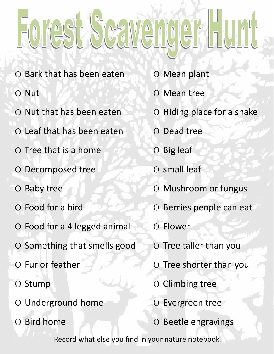## Forest Scallenger Hunt

- O Bark that has been eaten
- O Nut
- O Nut that has been eaten
- O Leaf that has been eaten
- O Tree that is a home
- O Decomposed tree
- O Baby tree
- O Food for a bird
- O Food for a 4 legged animal
- O Something that smells good
- O Fur or feather
- O Stump
- O Underground home
- O Bird home
- O Mean plant
- O Mean tree
- O Hiding place for a snake
- O Dead tree
- O Big leaf
- O small leaf
- O Mushroom or fungus
- O Berries people can eat
- O Flower
- O Tree taller than you
- O Tree shorter than you
- O Climbing tree
- O Evergreen tree
- O Beetle engravings

Record what else you find in your nature notebook!